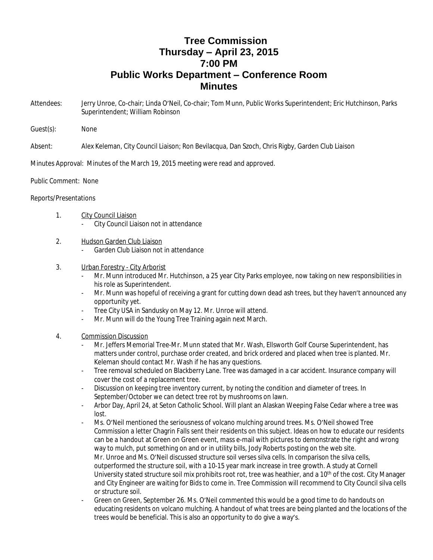## **Tree Commission Thursday – April 23, 2015 7:00 PM Public Works Department – Conference Room Minutes**

- Attendees: Jerry Unroe, Co-chair; Linda O'Neil, Co-chair; Tom Munn, Public Works Superintendent; Eric Hutchinson, Parks Superintendent; William Robinson
- Guest(s): None

Absent: Alex Keleman, City Council Liaison; Ron Bevilacqua, Dan Szoch, Chris Rigby, Garden Club Liaison

Minutes Approval: Minutes of the March 19, 2015 meeting were read and approved.

## Public Comment: None

## Reports/Presentations

- 1. City Council Liaison
	- City Council Liaison not in attendance
- 2. Hudson Garden Club Liaison
	- Garden Club Liaison not in attendance
- 3. Urban Forestry City Arborist
	- Mr. Munn introduced Mr. Hutchinson, a 25 year City Parks employee, now taking on new responsibilities in his role as Superintendent.
	- Mr. Munn was hopeful of receiving a grant for cutting down dead ash trees, but they haven't announced any opportunity yet.
	- Tree City USA in Sandusky on May 12. Mr. Unroe will attend.
	- Mr. Munn will do the Young Tree Training again next March.
- 4. Commission Discussion
	- Mr. Jeffers Memorial Tree-Mr. Munn stated that Mr. Wash, Ellsworth Golf Course Superintendent, has matters under control, purchase order created, and brick ordered and placed when tree is planted. Mr. Keleman should contact Mr. Wash if he has any questions.
	- Tree removal scheduled on Blackberry Lane. Tree was damaged in a car accident. Insurance company will cover the cost of a replacement tree.
	- Discussion on keeping tree inventory current, by noting the condition and diameter of trees. In September/October we can detect tree rot by mushrooms on lawn.
	- Arbor Day, April 24, at Seton Catholic School. Will plant an Alaskan Weeping False Cedar where a tree was lost.
	- Ms. O'Neil mentioned the seriousness of volcano mulching around trees. Ms. O'Neil showed Tree Commission a letter Chagrin Falls sent their residents on this subject. Ideas on how to educate our residents can be a handout at Green on Green event, mass e-mail with pictures to demonstrate the right and wrong way to mulch, put something on and or in utility bills, Jody Roberts posting on the web site. Mr. Unroe and Ms. O'Neil discussed structure soil verses silva cells. In comparison the silva cells, outperformed the structure soil, with a 10-15 year mark increase in tree growth. A study at Cornell University stated structure soil mix prohibits root rot, tree was heathier, and a 10<sup>th</sup> of the cost. City Manager and City Engineer are waiting for Bids to come in. Tree Commission will recommend to City Council silva cells or structure soil.
	- Green on Green, September 26. Ms. O'Neil commented this would be a good time to do handouts on educating residents on volcano mulching. A handout of what trees are being planted and the locations of the trees would be beneficial. This is also an opportunity to do give a way's.